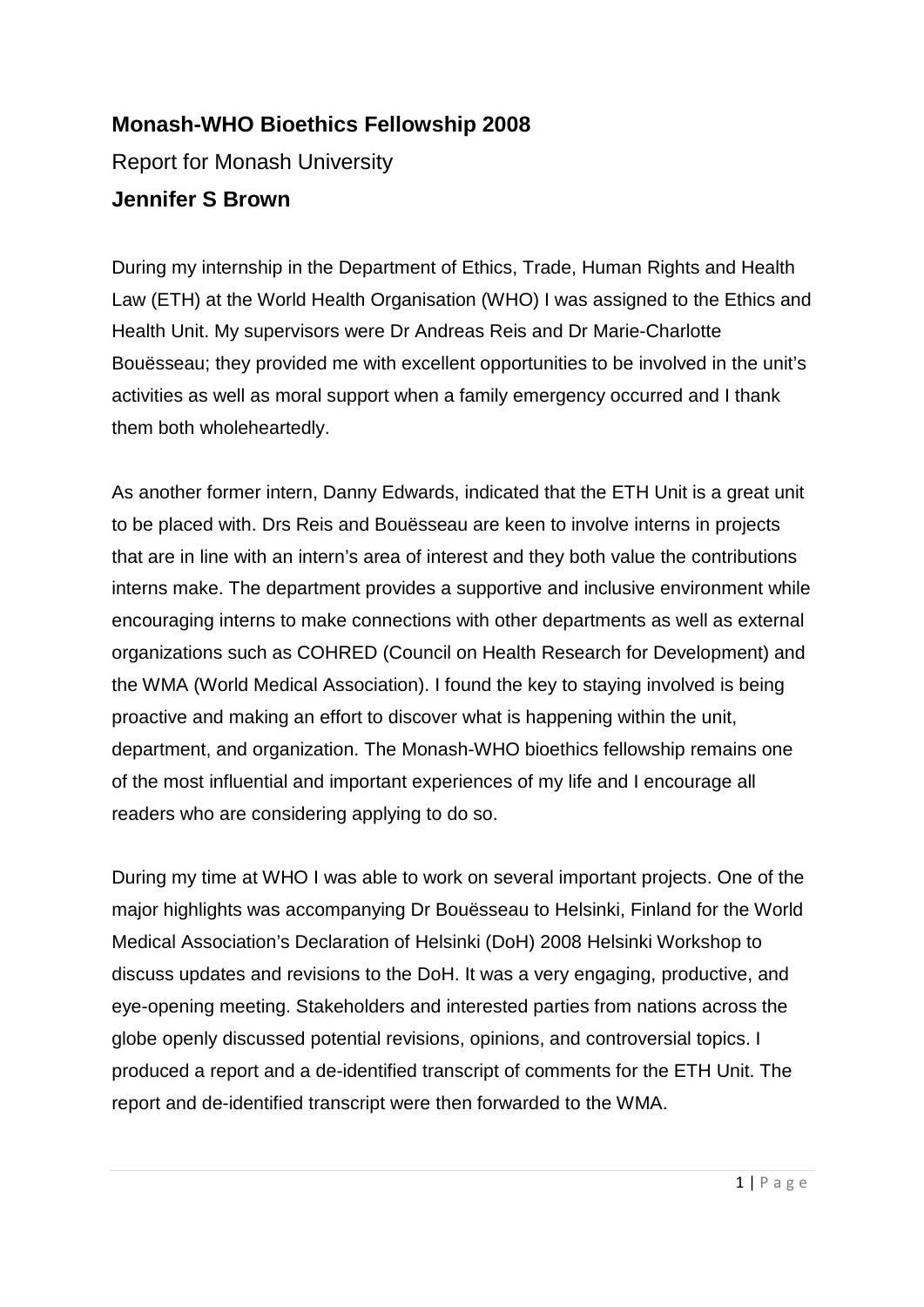## **Monash-WHO Bioethics Fellowship 2008**

Report for Monash University

## **Jennifer S Brown**

During my internship in the Department of Ethics, Trade, Human Rights and Health Law (ETH) at the World Health Organisation (WHO) I was assigned to the Ethics and Health Unit. My supervisors were Dr Andreas Reis and Dr Marie-Charlotte Bouësseau; they provided me with excellent opportunities to be involved in the unit's activities as well as moral support when a family emergency occurred and I thank them both wholeheartedly.

As another former intern, Danny Edwards, indicated that the ETH Unit is a great unit to be placed with. Drs Reis and Bouësseau are keen to involve interns in projects that are in line with an intern's area of interest and they both value the contributions interns make. The department provides a supportive and inclusive environment while encouraging interns to make connections with other departments as well as external organizations such as COHRED (Council on Health Research for Development) and the WMA (World Medical Association). I found the key to staying involved is being proactive and making an effort to discover what is happening within the unit, department, and organization. The Monash-WHO bioethics fellowship remains one of the most influential and important experiences of my life and I encourage all readers who are considering applying to do so.

During my time at WHO I was able to work on several important projects. One of the major highlights was accompanying Dr Bouësseau to Helsinki, Finland for the World Medical Association's Declaration of Helsinki (DoH) 2008 Helsinki Workshop to discuss updates and revisions to the DoH. It was a very engaging, productive, and eye-opening meeting. Stakeholders and interested parties from nations across the globe openly discussed potential revisions, opinions, and controversial topics. I produced a report and a de-identified transcript of comments for the ETH Unit. The report and de-identified transcript were then forwarded to the WMA.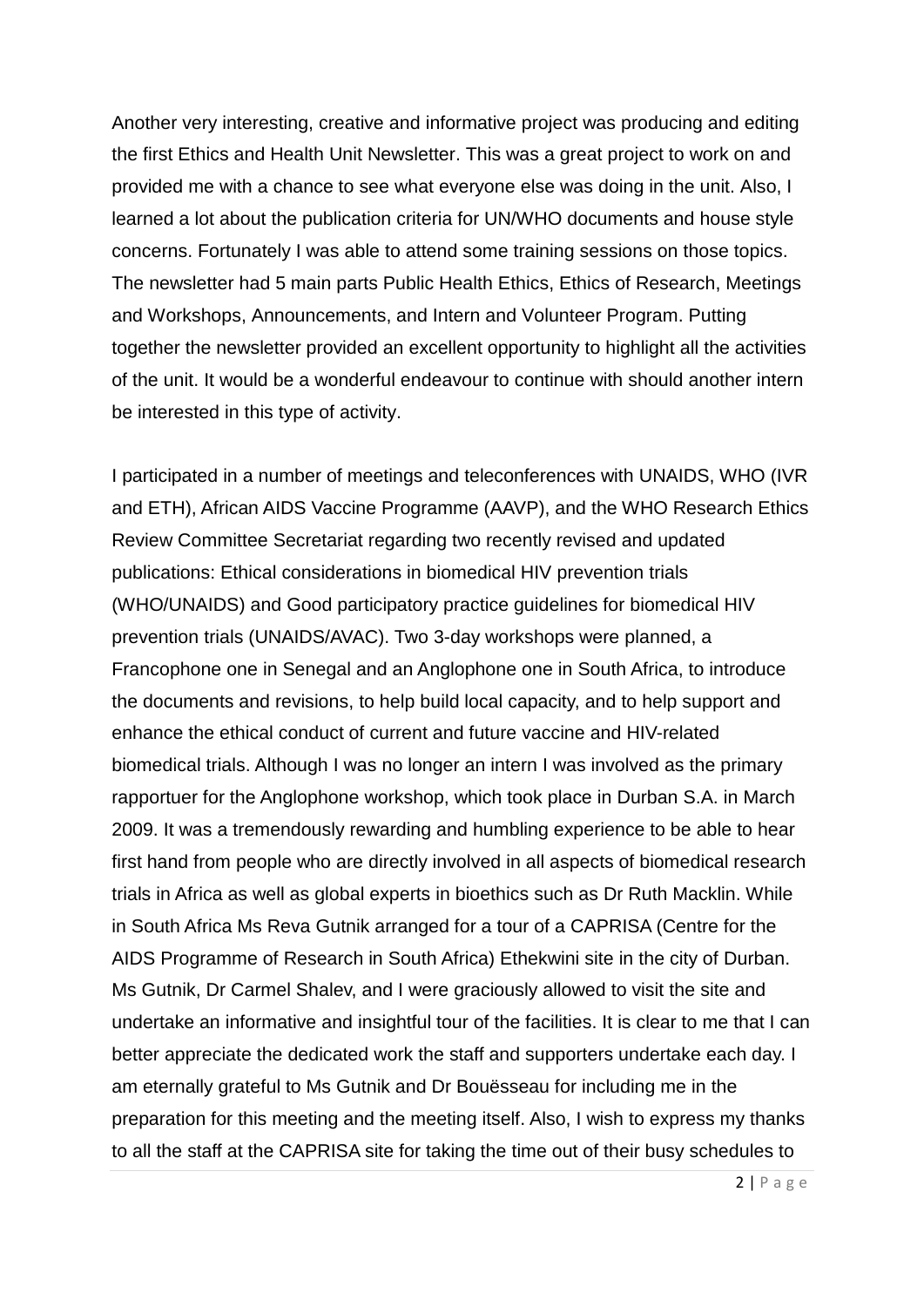Another very interesting, creative and informative project was producing and editing the first Ethics and Health Unit Newsletter. This was a great project to work on and provided me with a chance to see what everyone else was doing in the unit. Also, I learned a lot about the publication criteria for UN/WHO documents and house style concerns. Fortunately I was able to attend some training sessions on those topics. The newsletter had 5 main parts Public Health Ethics, Ethics of Research, Meetings and Workshops, Announcements, and Intern and Volunteer Program. Putting together the newsletter provided an excellent opportunity to highlight all the activities of the unit. It would be a wonderful endeavour to continue with should another intern be interested in this type of activity.

I participated in a number of meetings and teleconferences with UNAIDS, WHO (IVR and ETH), African AIDS Vaccine Programme (AAVP), and the WHO Research Ethics Review Committee Secretariat regarding two recently revised and updated publications: Ethical considerations in biomedical HIV prevention trials (WHO/UNAIDS) and Good participatory practice guidelines for biomedical HIV prevention trials (UNAIDS/AVAC). Two 3-day workshops were planned, a Francophone one in Senegal and an Anglophone one in South Africa, to introduce the documents and revisions, to help build local capacity, and to help support and enhance the ethical conduct of current and future vaccine and HIV-related biomedical trials. Although I was no longer an intern I was involved as the primary rapportuer for the Anglophone workshop, which took place in Durban S.A. in March 2009. It was a tremendously rewarding and humbling experience to be able to hear first hand from people who are directly involved in all aspects of biomedical research trials in Africa as well as global experts in bioethics such as Dr Ruth Macklin. While in South Africa Ms Reva Gutnik arranged for a tour of a CAPRISA (Centre for the AIDS Programme of Research in South Africa) Ethekwini site in the city of Durban. Ms Gutnik, Dr Carmel Shalev, and I were graciously allowed to visit the site and undertake an informative and insightful tour of the facilities. It is clear to me that I can better appreciate the dedicated work the staff and supporters undertake each day. I am eternally grateful to Ms Gutnik and Dr Bouësseau for including me in the preparation for this meeting and the meeting itself. Also, I wish to express my thanks to all the staff at the CAPRISA site for taking the time out of their busy schedules to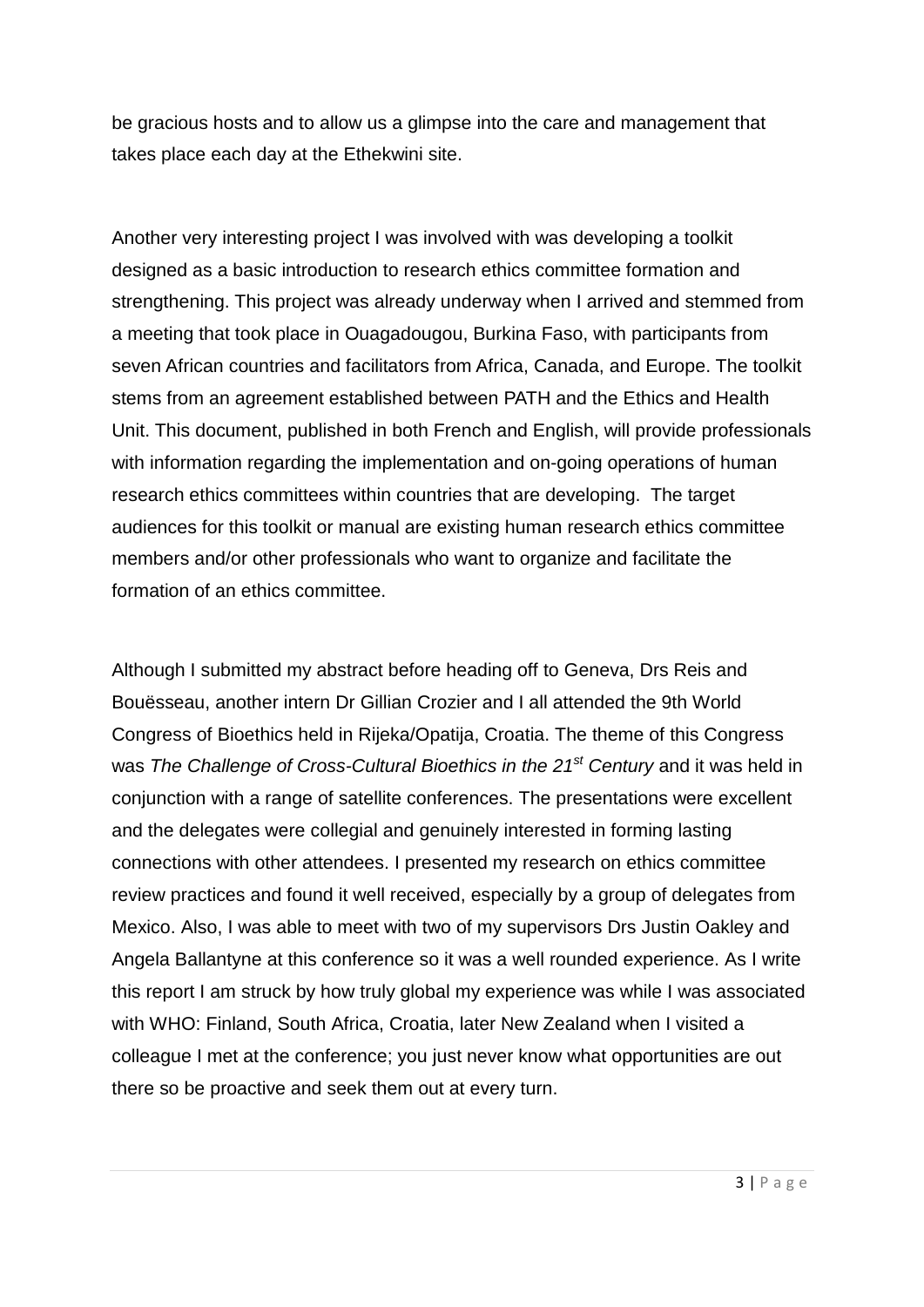be gracious hosts and to allow us a glimpse into the care and management that takes place each day at the Ethekwini site.

Another very interesting project I was involved with was developing a toolkit designed as a basic introduction to research ethics committee formation and strengthening. This project was already underway when I arrived and stemmed from a meeting that took place in Ouagadougou, Burkina Faso, with participants from seven African countries and facilitators from Africa, Canada, and Europe. The toolkit stems from an agreement established between PATH and the Ethics and Health Unit. This document, published in both French and English, will provide professionals with information regarding the implementation and on-going operations of human research ethics committees within countries that are developing. The target audiences for this toolkit or manual are existing human research ethics committee members and/or other professionals who want to organize and facilitate the formation of an ethics committee.

Although I submitted my abstract before heading off to Geneva, Drs Reis and Bouësseau, another intern Dr Gillian Crozier and I all attended the 9th World Congress of Bioethics held in Rijeka/Opatija, Croatia. The theme of this Congress was *The Challenge of Cross-Cultural Bioethics in the 21st Century* and it was held in conjunction with a range of satellite conferences. The presentations were excellent and the delegates were collegial and genuinely interested in forming lasting connections with other attendees. I presented my research on ethics committee review practices and found it well received, especially by a group of delegates from Mexico. Also, I was able to meet with two of my supervisors Drs Justin Oakley and Angela Ballantyne at this conference so it was a well rounded experience. As I write this report I am struck by how truly global my experience was while I was associated with WHO: Finland, South Africa, Croatia, later New Zealand when I visited a colleague I met at the conference; you just never know what opportunities are out there so be proactive and seek them out at every turn.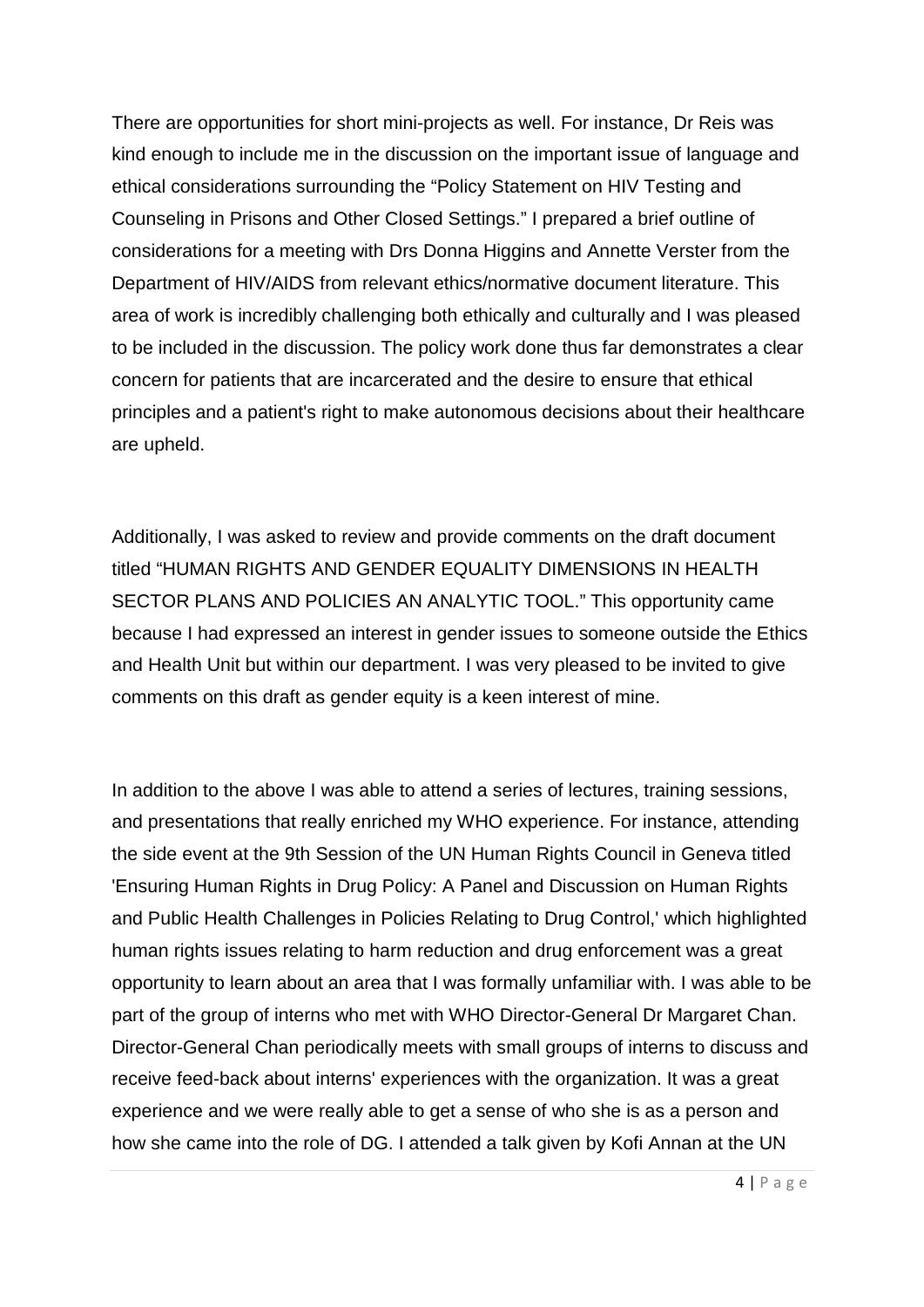There are opportunities for short mini-projects as well. For instance, Dr Reis was kind enough to include me in the discussion on the important issue of language and ethical considerations surrounding the "Policy Statement on HIV Testing and Counseling in Prisons and Other Closed Settings." I prepared a brief outline of considerations for a meeting with Drs Donna Higgins and Annette Verster from the Department of HIV/AIDS from relevant ethics/normative document literature. This area of work is incredibly challenging both ethically and culturally and I was pleased to be included in the discussion. The policy work done thus far demonstrates a clear concern for patients that are incarcerated and the desire to ensure that ethical principles and a patient's right to make autonomous decisions about their healthcare are upheld.

Additionally, I was asked to review and provide comments on the draft document titled "HUMAN RIGHTS AND GENDER EQUALITY DIMENSIONS IN HEALTH SECTOR PLANS AND POLICIES AN ANALYTIC TOOL." This opportunity came because I had expressed an interest in gender issues to someone outside the Ethics and Health Unit but within our department. I was very pleased to be invited to give comments on this draft as gender equity is a keen interest of mine.

In addition to the above I was able to attend a series of lectures, training sessions, and presentations that really enriched my WHO experience. For instance, attending the side event at the 9th Session of the UN Human Rights Council in Geneva titled 'Ensuring Human Rights in Drug Policy: A Panel and Discussion on Human Rights and Public Health Challenges in Policies Relating to Drug Control,' which highlighted human rights issues relating to harm reduction and drug enforcement was a great opportunity to learn about an area that I was formally unfamiliar with. I was able to be part of the group of interns who met with WHO Director-General Dr Margaret Chan. Director-General Chan periodically meets with small groups of interns to discuss and receive feed-back about interns' experiences with the organization. It was a great experience and we were really able to get a sense of who she is as a person and how she came into the role of DG. I attended a talk given by Kofi Annan at the UN